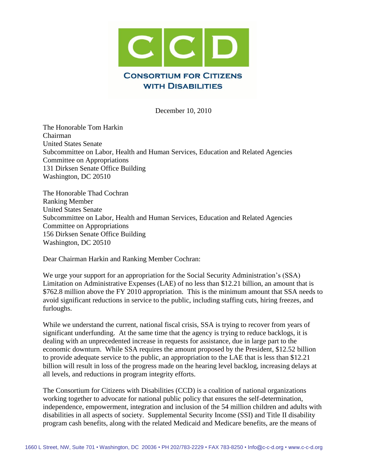

December 10, 2010

The Honorable Tom Harkin Chairman United States Senate Subcommittee on Labor, Health and Human Services, Education and Related Agencies Committee on Appropriations 131 Dirksen Senate Office Building Washington, DC 20510

The Honorable Thad Cochran Ranking Member United States Senate Subcommittee on Labor, Health and Human Services, Education and Related Agencies Committee on Appropriations 156 Dirksen Senate Office Building Washington, DC 20510

Dear Chairman Harkin and Ranking Member Cochran:

We urge your support for an appropriation for the Social Security Administration's (SSA) Limitation on Administrative Expenses (LAE) of no less than \$12.21 billion, an amount that is \$762.8 million above the FY 2010 appropriation. This is the minimum amount that SSA needs to avoid significant reductions in service to the public, including staffing cuts, hiring freezes, and furloughs.

While we understand the current, national fiscal crisis, SSA is trying to recover from years of significant underfunding. At the same time that the agency is trying to reduce backlogs, it is dealing with an unprecedented increase in requests for assistance, due in large part to the economic downturn. While SSA requires the amount proposed by the President, \$12.52 billion to provide adequate service to the public, an appropriation to the LAE that is less than \$12.21 billion will result in loss of the progress made on the hearing level backlog, increasing delays at all levels, and reductions in program integrity efforts.

The Consortium for Citizens with Disabilities (CCD) is a coalition of national organizations working together to advocate for national public policy that ensures the self-determination, independence, empowerment, integration and inclusion of the 54 million children and adults with disabilities in all aspects of society. Supplemental Security Income (SSI) and Title II disability program cash benefits, along with the related Medicaid and Medicare benefits, are the means of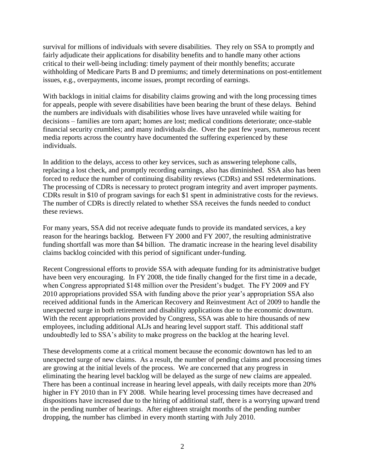survival for millions of individuals with severe disabilities. They rely on SSA to promptly and fairly adjudicate their applications for disability benefits and to handle many other actions critical to their well-being including: timely payment of their monthly benefits; accurate withholding of Medicare Parts B and D premiums; and timely determinations on post-entitlement issues, e.g., overpayments, income issues, prompt recording of earnings.

With backlogs in initial claims for disability claims growing and with the long processing times for appeals, people with severe disabilities have been bearing the brunt of these delays. Behind the numbers are individuals with disabilities whose lives have unraveled while waiting for decisions – families are torn apart; homes are lost; medical conditions deteriorate; once-stable financial security crumbles; and many individuals die. Over the past few years, numerous recent media reports across the country have documented the suffering experienced by these individuals.

In addition to the delays, access to other key services, such as answering telephone calls, replacing a lost check, and promptly recording earnings, also has diminished. SSA also has been forced to reduce the number of continuing disability reviews (CDRs) and SSI redeterminations. The processing of CDRs is necessary to protect program integrity and avert improper payments. CDRs result in \$10 of program savings for each \$1 spent in administrative costs for the reviews. The number of CDRs is directly related to whether SSA receives the funds needed to conduct these reviews.

For many years, SSA did not receive adequate funds to provide its mandated services, a key reason for the hearings backlog. Between FY 2000 and FY 2007, the resulting administrative funding shortfall was more than \$4 billion. The dramatic increase in the hearing level disability claims backlog coincided with this period of significant under-funding.

Recent Congressional efforts to provide SSA with adequate funding for its administrative budget have been very encouraging. In FY 2008, the tide finally changed for the first time in a decade, when Congress appropriated \$148 million over the President's budget. The FY 2009 and FY 2010 appropriations provided SSA with funding above the prior year's appropriation SSA also received additional funds in the American Recovery and Reinvestment Act of 2009 to handle the unexpected surge in both retirement and disability applications due to the economic downturn. With the recent appropriations provided by Congress, SSA was able to hire thousands of new employees, including additional ALJs and hearing level support staff. This additional staff undoubtedly led to SSA's ability to make progress on the backlog at the hearing level.

These developments come at a critical moment because the economic downtown has led to an unexpected surge of new claims. As a result, the number of pending claims and processing times are growing at the initial levels of the process. We are concerned that any progress in eliminating the hearing level backlog will be delayed as the surge of new claims are appealed. There has been a continual increase in hearing level appeals, with daily receipts more than 20% higher in FY 2010 than in FY 2008. While hearing level processing times have decreased and dispositions have increased due to the hiring of additional staff, there is a worrying upward trend in the pending number of hearings. After eighteen straight months of the pending number dropping, the number has climbed in every month starting with July 2010.